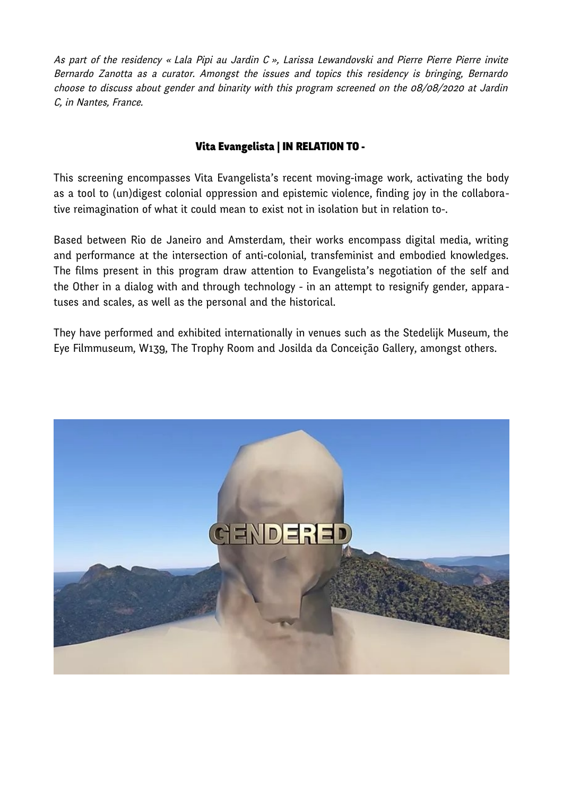As part of the residency « Lala Pipi au Jardin C », Larissa Lewandovski and Pierre Pierre Pierre invite Bernardo Zanotta as a curator. Amongst the issues and topics this residency is bringing, Bernardo choose to discuss about gender and binarity with this program screened on the 08/08/2020 at Jardin C, in Nantes, France.

# Vita Evangelista | IN RELATION TO -

This screening encompasses Vita Evangelista's recent moving-image work, activating the body as a tool to (un)digest colonial oppression and epistemic violence, finding joy in the collaborative reimagination of what it could mean to exist not in isolation but in relation to-.

Based between Rio de Janeiro and Amsterdam, their works encompass digital media, writing and performance at the intersection of anti-colonial, transfeminist and embodied knowledges. The films present in this program draw attention to Evangelista's negotiation of the self and the Other in a dialog with and through technology - in an attempt to resignify gender, appara tuses and scales, as well as the personal and the historical.

They have performed and exhibited internationally in venues such as the Stedelijk Museum, the Eye Filmmuseum, W139, The Trophy Room and Josilda da Conceição Gallery, amongst others.